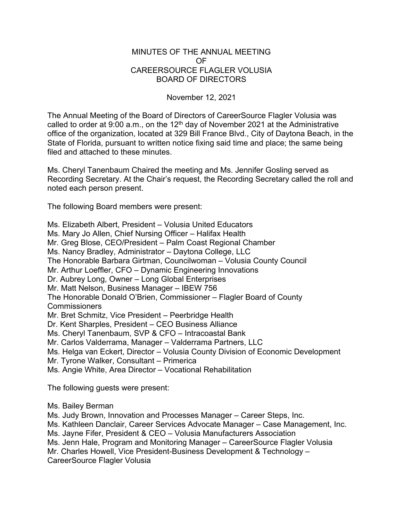## MINUTES OF THE ANNUAL MEETING OF CAREERSOURCE FLAGLER VOLUSIA BOARD OF DIRECTORS

## November 12, 2021

The Annual Meeting of the Board of Directors of CareerSource Flagler Volusia was called to order at 9:00 a.m., on the  $12<sup>th</sup>$  day of November 2021 at the Administrative office of the organization, located at 329 Bill France Blvd., City of Daytona Beach, in the State of Florida, pursuant to written notice fixing said time and place; the same being filed and attached to these minutes

Ms. Cheryl Tanenbaum Chaired the meeting and Ms. Jennifer Gosling served as Recording Secretary. At the Chair's request, the Recording Secretary called the roll and noted each person present.

The following Board members were present:

Ms. Elizabeth Albert, President – Volusia United Educators Ms. Mary Jo Allen, Chief Nursing Officer – Halifax Health Mr. Greg Blose, CEO/President – Palm Coast Regional Chamber Ms. Nancy Bradley, Administrator – Daytona College, LLC The Honorable Barbara Girtman, Councilwoman – Volusia County Council Mr. Arthur Loeffler, CFO – Dynamic Engineering Innovations Dr. Aubrey Long, Owner – Long Global Enterprises Mr. Matt Nelson, Business Manager – IBEW 756 The Honorable Donald O'Brien, Commissioner – Flagler Board of County Commissioners Mr. Bret Schmitz, Vice President – Peerbridge Health Dr. Kent Sharples, President – CEO Business Alliance Ms. Cheryl Tanenbaum, SVP & CFO – Intracoastal Bank Mr. Carlos Valderrama, Manager – Valderrama Partners, LLC Ms. Helga van Eckert, Director – Volusia County Division of Economic Development Mr. Tyrone Walker, Consultant – Primerica Ms. Angie White, Area Director – Vocational Rehabilitation

The following guests were present:

Ms. Bailey Berman

Ms. Judy Brown, Innovation and Processes Manager – Career Steps, Inc.

Ms. Kathleen Danclair, Career Services Advocate Manager – Case Management, Inc.

Ms. Jayne Fifer, President & CEO – Volusia Manufacturers Association

Ms. Jenn Hale, Program and Monitoring Manager – CareerSource Flagler Volusia

Mr. Charles Howell, Vice President-Business Development & Technology –

CareerSource Flagler Volusia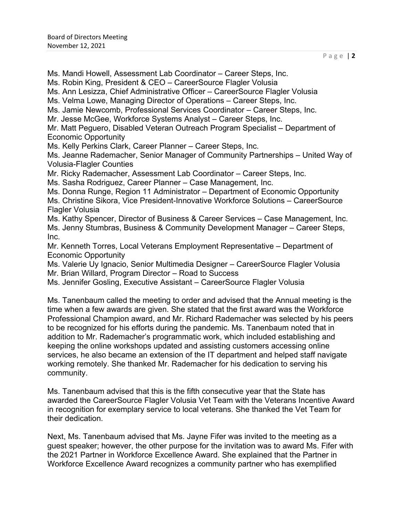Ms. Robin King, President & CEO – CareerSource Flagler Volusia Ms. Ann Lesizza, Chief Administrative Officer – CareerSource Flagler Volusia Ms. Velma Lowe, Managing Director of Operations – Career Steps, Inc. Ms. Jamie Newcomb, Professional Services Coordinator – Career Steps, Inc. Mr. Jesse McGee, Workforce Systems Analyst – Career Steps, Inc. Mr. Matt Peguero, Disabled Veteran Outreach Program Specialist – Department of Economic Opportunity Ms. Kelly Perkins Clark, Career Planner – Career Steps, Inc. Ms. Jeanne Rademacher, Senior Manager of Community Partnerships – United Way of Volusia-Flagler Counties Mr. Ricky Rademacher, Assessment Lab Coordinator – Career Steps, Inc. Ms. Sasha Rodriguez, Career Planner – Case Management, Inc. Ms. Donna Runge, Region 11 Administrator – Department of Economic Opportunity Ms. Christine Sikora, Vice President-Innovative Workforce Solutions – CareerSource Flagler Volusia Ms. Kathy Spencer, Director of Business & Career Services – Case Management, Inc. Ms. Jenny Stumbras, Business & Community Development Manager – Career Steps, Inc. Mr. Kenneth Torres, Local Veterans Employment Representative – Department of Economic Opportunity Ms. Valerie Uy Ignacio, Senior Multimedia Designer – CareerSource Flagler Volusia Mr. Brian Willard, Program Director – Road to Success Ms. Jennifer Gosling, Executive Assistant – CareerSource Flagler Volusia

Ms. Mandi Howell, Assessment Lab Coordinator – Career Steps, Inc.

Ms. Tanenbaum called the meeting to order and advised that the Annual meeting is the time when a few awards are given. She stated that the first award was the Workforce Professional Champion award, and Mr. Richard Rademacher was selected by his peers to be recognized for his efforts during the pandemic. Ms. Tanenbaum noted that in addition to Mr. Rademacher's programmatic work, which included establishing and keeping the online workshops updated and assisting customers accessing online services, he also became an extension of the IT department and helped staff navigate working remotely. She thanked Mr. Rademacher for his dedication to serving his community.

Ms. Tanenbaum advised that this is the fifth consecutive year that the State has awarded the CareerSource Flagler Volusia Vet Team with the Veterans Incentive Award in recognition for exemplary service to local veterans. She thanked the Vet Team for their dedication.

Next, Ms. Tanenbaum advised that Ms. Jayne Fifer was invited to the meeting as a guest speaker; however, the other purpose for the invitation was to award Ms. Fifer with the 2021 Partner in Workforce Excellence Award. She explained that the Partner in Workforce Excellence Award recognizes a community partner who has exemplified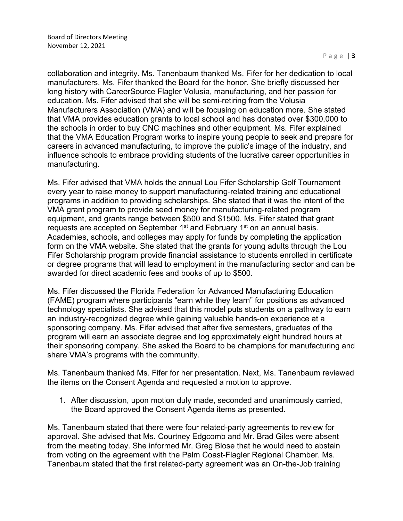collaboration and integrity. Ms. Tanenbaum thanked Ms. Fifer for her dedication to local manufacturers. Ms. Fifer thanked the Board for the honor. She briefly discussed her long history with CareerSource Flagler Volusia, manufacturing, and her passion for education. Ms. Fifer advised that she will be semi-retiring from the Volusia Manufacturers Association (VMA) and will be focusing on education more. She stated that VMA provides education grants to local school and has donated over \$300,000 to the schools in order to buy CNC machines and other equipment. Ms. Fifer explained that the VMA Education Program works to inspire young people to seek and prepare for careers in advanced manufacturing, to improve the public's image of the industry, and influence schools to embrace providing students of the lucrative career opportunities in manufacturing.

Ms. Fifer advised that VMA holds the annual Lou Fifer Scholarship Golf Tournament every year to raise money to support manufacturing-related training and educational programs in addition to providing scholarships. She stated that it was the intent of the VMA grant program to provide seed money for manufacturing-related program equipment, and grants range between \$500 and \$1500. Ms. Fifer stated that grant requests are accepted on September  $1<sup>st</sup>$  and February  $1<sup>st</sup>$  on an annual basis. Academies, schools, and colleges may apply for funds by completing the application form on the VMA website. She stated that the grants for young adults through the Lou Fifer Scholarship program provide financial assistance to students enrolled in certificate or degree programs that will lead to employment in the manufacturing sector and can be awarded for direct academic fees and books of up to \$500.

Ms. Fifer discussed the Florida Federation for Advanced Manufacturing Education (FAME) program where participants "earn while they learn" for positions as advanced technology specialists. She advised that this model puts students on a pathway to earn an industry-recognized degree while gaining valuable hands-on experience at a sponsoring company. Ms. Fifer advised that after five semesters, graduates of the program will earn an associate degree and log approximately eight hundred hours at their sponsoring company. She asked the Board to be champions for manufacturing and share VMA's programs with the community.

Ms. Tanenbaum thanked Ms. Fifer for her presentation. Next, Ms. Tanenbaum reviewed the items on the Consent Agenda and requested a motion to approve.

1. After discussion, upon motion duly made, seconded and unanimously carried, the Board approved the Consent Agenda items as presented.

Ms. Tanenbaum stated that there were four related-party agreements to review for approval. She advised that Ms. Courtney Edgcomb and Mr. Brad Giles were absent from the meeting today. She informed Mr. Greg Blose that he would need to abstain from voting on the agreement with the Palm Coast-Flagler Regional Chamber. Ms. Tanenbaum stated that the first related-party agreement was an On-the-Job training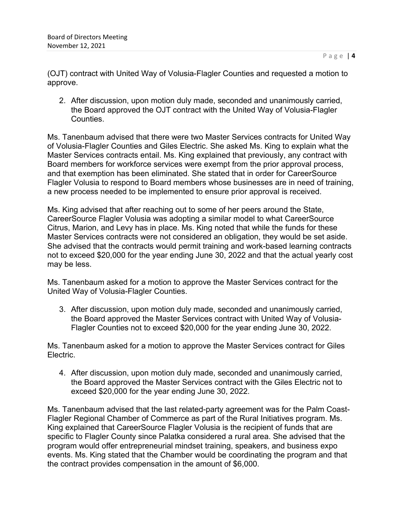(OJT) contract with United Way of Volusia-Flagler Counties and requested a motion to approve.

2. After discussion, upon motion duly made, seconded and unanimously carried, the Board approved the OJT contract with the United Way of Volusia-Flagler Counties.

Ms. Tanenbaum advised that there were two Master Services contracts for United Way of Volusia-Flagler Counties and Giles Electric. She asked Ms. King to explain what the Master Services contracts entail. Ms. King explained that previously, any contract with Board members for workforce services were exempt from the prior approval process, and that exemption has been eliminated. She stated that in order for CareerSource Flagler Volusia to respond to Board members whose businesses are in need of training, a new process needed to be implemented to ensure prior approval is received.

Ms. King advised that after reaching out to some of her peers around the State, CareerSource Flagler Volusia was adopting a similar model to what CareerSource Citrus, Marion, and Levy has in place. Ms. King noted that while the funds for these Master Services contracts were not considered an obligation, they would be set aside. She advised that the contracts would permit training and work-based learning contracts not to exceed \$20,000 for the year ending June 30, 2022 and that the actual yearly cost may be less.

Ms. Tanenbaum asked for a motion to approve the Master Services contract for the United Way of Volusia-Flagler Counties.

3. After discussion, upon motion duly made, seconded and unanimously carried, the Board approved the Master Services contract with United Way of Volusia-Flagler Counties not to exceed \$20,000 for the year ending June 30, 2022.

Ms. Tanenbaum asked for a motion to approve the Master Services contract for Giles Electric.

4. After discussion, upon motion duly made, seconded and unanimously carried, the Board approved the Master Services contract with the Giles Electric not to exceed \$20,000 for the year ending June 30, 2022.

Ms. Tanenbaum advised that the last related-party agreement was for the Palm Coast-Flagler Regional Chamber of Commerce as part of the Rural Initiatives program. Ms. King explained that CareerSource Flagler Volusia is the recipient of funds that are specific to Flagler County since Palatka considered a rural area. She advised that the program would offer entrepreneurial mindset training, speakers, and business expo events. Ms. King stated that the Chamber would be coordinating the program and that the contract provides compensation in the amount of \$6,000.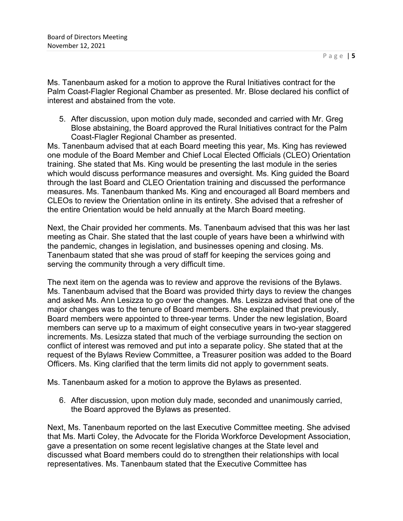Ms. Tanenbaum asked for a motion to approve the Rural Initiatives contract for the Palm Coast-Flagler Regional Chamber as presented. Mr. Blose declared his conflict of interest and abstained from the vote.

5. After discussion, upon motion duly made, seconded and carried with Mr. Greg Blose abstaining, the Board approved the Rural Initiatives contract for the Palm Coast-Flagler Regional Chamber as presented.

Ms. Tanenbaum advised that at each Board meeting this year, Ms. King has reviewed one module of the Board Member and Chief Local Elected Officials (CLEO) Orientation training. She stated that Ms. King would be presenting the last module in the series which would discuss performance measures and oversight. Ms. King guided the Board through the last Board and CLEO Orientation training and discussed the performance measures. Ms. Tanenbaum thanked Ms. King and encouraged all Board members and CLEOs to review the Orientation online in its entirety. She advised that a refresher of the entire Orientation would be held annually at the March Board meeting.

Next, the Chair provided her comments. Ms. Tanenbaum advised that this was her last meeting as Chair. She stated that the last couple of years have been a whirlwind with the pandemic, changes in legislation, and businesses opening and closing. Ms. Tanenbaum stated that she was proud of staff for keeping the services going and serving the community through a very difficult time.

The next item on the agenda was to review and approve the revisions of the Bylaws. Ms. Tanenbaum advised that the Board was provided thirty days to review the changes and asked Ms. Ann Lesizza to go over the changes. Ms. Lesizza advised that one of the major changes was to the tenure of Board members. She explained that previously, Board members were appointed to three-year terms. Under the new legislation, Board members can serve up to a maximum of eight consecutive years in two-year staggered increments. Ms. Lesizza stated that much of the verbiage surrounding the section on conflict of interest was removed and put into a separate policy. She stated that at the request of the Bylaws Review Committee, a Treasurer position was added to the Board Officers. Ms. King clarified that the term limits did not apply to government seats.

Ms. Tanenbaum asked for a motion to approve the Bylaws as presented.

6. After discussion, upon motion duly made, seconded and unanimously carried, the Board approved the Bylaws as presented.

Next, Ms. Tanenbaum reported on the last Executive Committee meeting. She advised that Ms. Marti Coley, the Advocate for the Florida Workforce Development Association, gave a presentation on some recent legislative changes at the State level and discussed what Board members could do to strengthen their relationships with local representatives. Ms. Tanenbaum stated that the Executive Committee has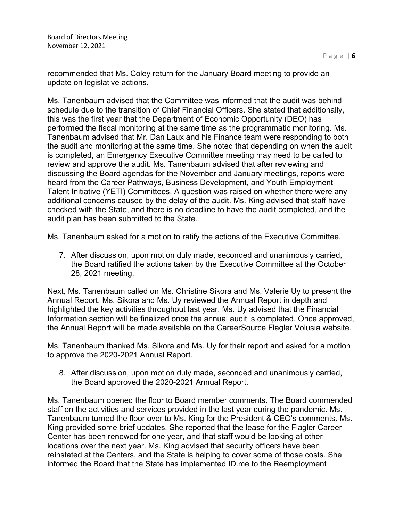recommended that Ms. Coley return for the January Board meeting to provide an update on legislative actions.

Ms. Tanenbaum advised that the Committee was informed that the audit was behind schedule due to the transition of Chief Financial Officers. She stated that additionally, this was the first year that the Department of Economic Opportunity (DEO) has performed the fiscal monitoring at the same time as the programmatic monitoring. Ms. Tanenbaum advised that Mr. Dan Laux and his Finance team were responding to both the audit and monitoring at the same time. She noted that depending on when the audit is completed, an Emergency Executive Committee meeting may need to be called to review and approve the audit. Ms. Tanenbaum advised that after reviewing and discussing the Board agendas for the November and January meetings, reports were heard from the Career Pathways, Business Development, and Youth Employment Talent Initiative (YETI) Committees. A question was raised on whether there were any additional concerns caused by the delay of the audit. Ms. King advised that staff have checked with the State, and there is no deadline to have the audit completed, and the audit plan has been submitted to the State.

Ms. Tanenbaum asked for a motion to ratify the actions of the Executive Committee.

7. After discussion, upon motion duly made, seconded and unanimously carried, the Board ratified the actions taken by the Executive Committee at the October 28, 2021 meeting.

Next, Ms. Tanenbaum called on Ms. Christine Sikora and Ms. Valerie Uy to present the Annual Report. Ms. Sikora and Ms. Uy reviewed the Annual Report in depth and highlighted the key activities throughout last year. Ms. Uy advised that the Financial Information section will be finalized once the annual audit is completed. Once approved, the Annual Report will be made available on the CareerSource Flagler Volusia website.

Ms. Tanenbaum thanked Ms. Sikora and Ms. Uy for their report and asked for a motion to approve the 2020-2021 Annual Report.

8. After discussion, upon motion duly made, seconded and unanimously carried, the Board approved the 2020-2021 Annual Report.

Ms. Tanenbaum opened the floor to Board member comments. The Board commended staff on the activities and services provided in the last year during the pandemic. Ms. Tanenbaum turned the floor over to Ms. King for the President & CEO's comments. Ms. King provided some brief updates. She reported that the lease for the Flagler Career Center has been renewed for one year, and that staff would be looking at other locations over the next year. Ms. King advised that security officers have been reinstated at the Centers, and the State is helping to cover some of those costs. She informed the Board that the State has implemented ID.me to the Reemployment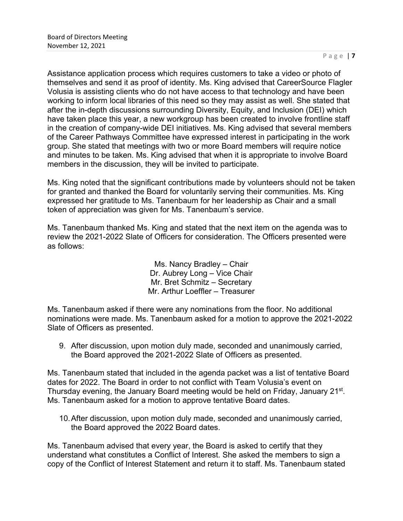Assistance application process which requires customers to take a video or photo of themselves and send it as proof of identity. Ms. King advised that CareerSource Flagler Volusia is assisting clients who do not have access to that technology and have been working to inform local libraries of this need so they may assist as well. She stated that after the in-depth discussions surrounding Diversity, Equity, and Inclusion (DEI) which have taken place this year, a new workgroup has been created to involve frontline staff in the creation of company-wide DEI initiatives. Ms. King advised that several members of the Career Pathways Committee have expressed interest in participating in the work group. She stated that meetings with two or more Board members will require notice and minutes to be taken. Ms. King advised that when it is appropriate to involve Board members in the discussion, they will be invited to participate.

Ms. King noted that the significant contributions made by volunteers should not be taken for granted and thanked the Board for voluntarily serving their communities. Ms. King expressed her gratitude to Ms. Tanenbaum for her leadership as Chair and a small token of appreciation was given for Ms. Tanenbaum's service.

Ms. Tanenbaum thanked Ms. King and stated that the next item on the agenda was to review the 2021-2022 Slate of Officers for consideration. The Officers presented were as follows:

> Ms. Nancy Bradley – Chair Dr. Aubrey Long – Vice Chair Mr. Bret Schmitz – Secretary Mr. Arthur Loeffler – Treasurer

Ms. Tanenbaum asked if there were any nominations from the floor. No additional nominations were made. Ms. Tanenbaum asked for a motion to approve the 2021-2022 Slate of Officers as presented.

9. After discussion, upon motion duly made, seconded and unanimously carried, the Board approved the 2021-2022 Slate of Officers as presented.

Ms. Tanenbaum stated that included in the agenda packet was a list of tentative Board dates for 2022. The Board in order to not conflict with Team Volusia's event on Thursday evening, the January Board meeting would be held on Friday, January 21<sup>st</sup>. Ms. Tanenbaum asked for a motion to approve tentative Board dates.

10.After discussion, upon motion duly made, seconded and unanimously carried, the Board approved the 2022 Board dates.

Ms. Tanenbaum advised that every year, the Board is asked to certify that they understand what constitutes a Conflict of Interest. She asked the members to sign a copy of the Conflict of Interest Statement and return it to staff. Ms. Tanenbaum stated